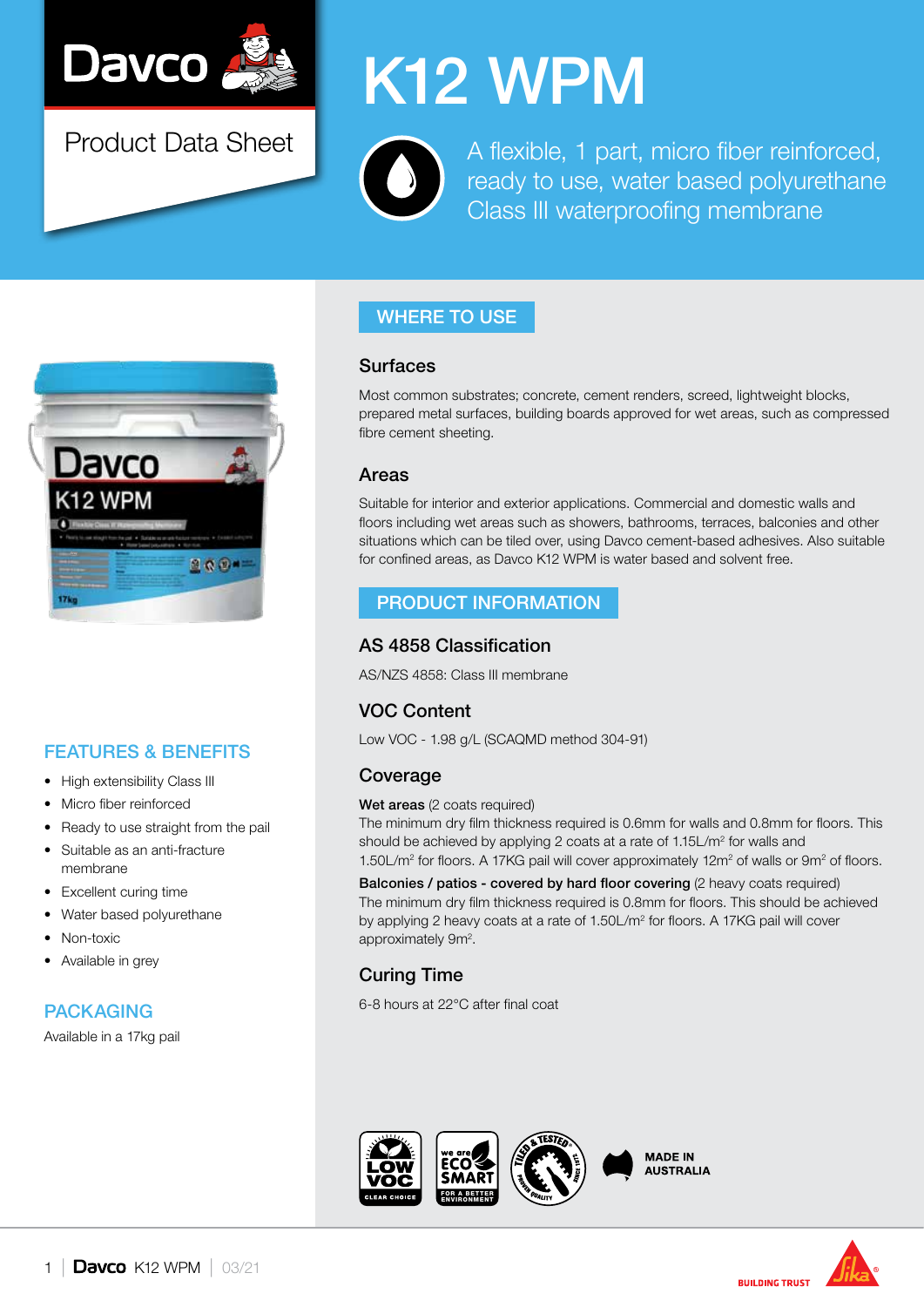

Product Data Sheet

# K12 WPM

A flexible, 1 part, micro fiber reinforced, ready to use, water based polyurethane Class III waterproofing membrane



# FEATURES & BENEFITS

- High extensibility Class III
- Micro fiber reinforced
- Ready to use straight from the pail
- Suitable as an anti-fracture membrane
- Excellent curing time
- Water based polyurethane
- Non-toxic
- Available in grey

## PACKAGING

Available in a 17kg pail

## WHERE TO USE

#### Surfaces

Most common substrates; concrete, cement renders, screed, lightweight blocks, prepared metal surfaces, building boards approved for wet areas, such as compressed fibre cement sheeting.

#### Areas

Suitable for interior and exterior applications. Commercial and domestic walls and floors including wet areas such as showers, bathrooms, terraces, balconies and other situations which can be tiled over, using Davco cement-based adhesives. Also suitable for confined areas, as Davco K12 WPM is water based and solvent free.

#### PRODUCT INFORMATION

#### AS 4858 Classification

AS/NZS 4858: Class III membrane

## VOC Content

Low VOC - 1.98 g/L (SCAQMD method 304-91)

## Coverage

#### Wet areas (2 coats required)

The minimum dry film thickness required is 0.6mm for walls and 0.8mm for floors. This should be achieved by applying 2 coats at a rate of 1.15L/m<sup>2</sup> for walls and 1.50L/ $m^2$  for floors. A 17KG pail will cover approximately 12 $m^2$  of walls or 9 $m^2$  of floors.

Balconies / patios - covered by hard floor covering (2 heavy coats required) The minimum dry film thickness required is 0.8mm for floors. This should be achieved by applying 2 heavy coats at a rate of 1.50L/m<sup>2</sup> for floors. A 17KG pail will cover approximately 9m<sup>2</sup>.

# Curing Time

6-8 hours at 22°C after final coat







**BUILDING TRUST**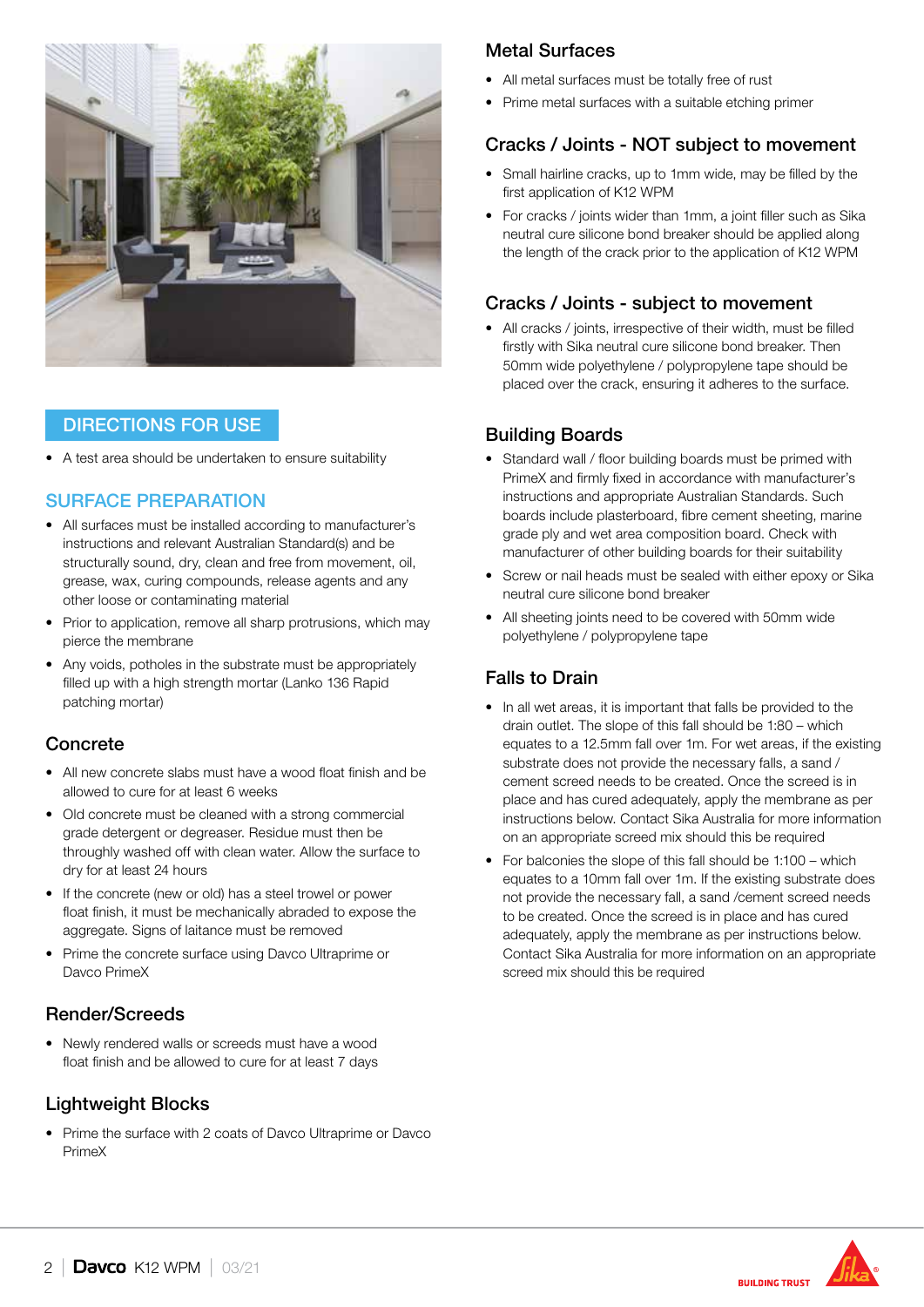

## DIRECTIONS FOR USE

• A test area should be undertaken to ensure suitability

#### SURFACE PREPARATION

- All surfaces must be installed according to manufacturer's instructions and relevant Australian Standard(s) and be structurally sound, dry, clean and free from movement, oil, grease, wax, curing compounds, release agents and any other loose or contaminating material
- Prior to application, remove all sharp protrusions, which may pierce the membrane
- Any voids, potholes in the substrate must be appropriately filled up with a high strength mortar (Lanko 136 Rapid patching mortar)

## **Concrete**

- All new concrete slabs must have a wood float finish and be allowed to cure for at least 6 weeks
- Old concrete must be cleaned with a strong commercial grade detergent or degreaser. Residue must then be throughly washed off with clean water. Allow the surface to dry for at least 24 hours
- If the concrete (new or old) has a steel trowel or power float finish, it must be mechanically abraded to expose the aggregate. Signs of laitance must be removed
- Prime the concrete surface using Davco Ultraprime or Davco PrimeX

## Render/Screeds

• Newly rendered walls or screeds must have a wood float finish and be allowed to cure for at least 7 days

#### Lightweight Blocks

• Prime the surface with 2 coats of Dayco Ultraprime or Dayco PrimeX

## Metal Surfaces

- All metal surfaces must be totally free of rust
- Prime metal surfaces with a suitable etching primer

## Cracks / Joints - NOT subject to movement

- Small hairline cracks, up to 1mm wide, may be filled by the first application of K12 WPM
- For cracks / joints wider than 1mm, a joint filler such as Sika neutral cure silicone bond breaker should be applied along the length of the crack prior to the application of K12 WPM

## Cracks / Joints - subject to movement

• All cracks / joints, irrespective of their width, must be filled firstly with Sika neutral cure silicone bond breaker. Then 50mm wide polyethylene / polypropylene tape should be placed over the crack, ensuring it adheres to the surface.

## Building Boards

- Standard wall / floor building boards must be primed with PrimeX and firmly fixed in accordance with manufacturer's instructions and appropriate Australian Standards. Such boards include plasterboard, fibre cement sheeting, marine grade ply and wet area composition board. Check with manufacturer of other building boards for their suitability
- Screw or nail heads must be sealed with either epoxy or Sika neutral cure silicone bond breaker
- All sheeting joints need to be covered with 50mm wide polyethylene / polypropylene tape

## Falls to Drain

- In all wet areas, it is important that falls be provided to the drain outlet. The slope of this fall should be 1:80 – which equates to a 12.5mm fall over 1m. For wet areas, if the existing substrate does not provide the necessary falls, a sand / cement screed needs to be created. Once the screed is in place and has cured adequately, apply the membrane as per instructions below. Contact Sika Australia for more information on an appropriate screed mix should this be required
- For balconies the slope of this fall should be 1:100 which equates to a 10mm fall over 1m. If the existing substrate does not provide the necessary fall, a sand /cement screed needs to be created. Once the screed is in place and has cured adequately, apply the membrane as per instructions below. Contact Sika Australia for more information on an appropriate screed mix should this be required

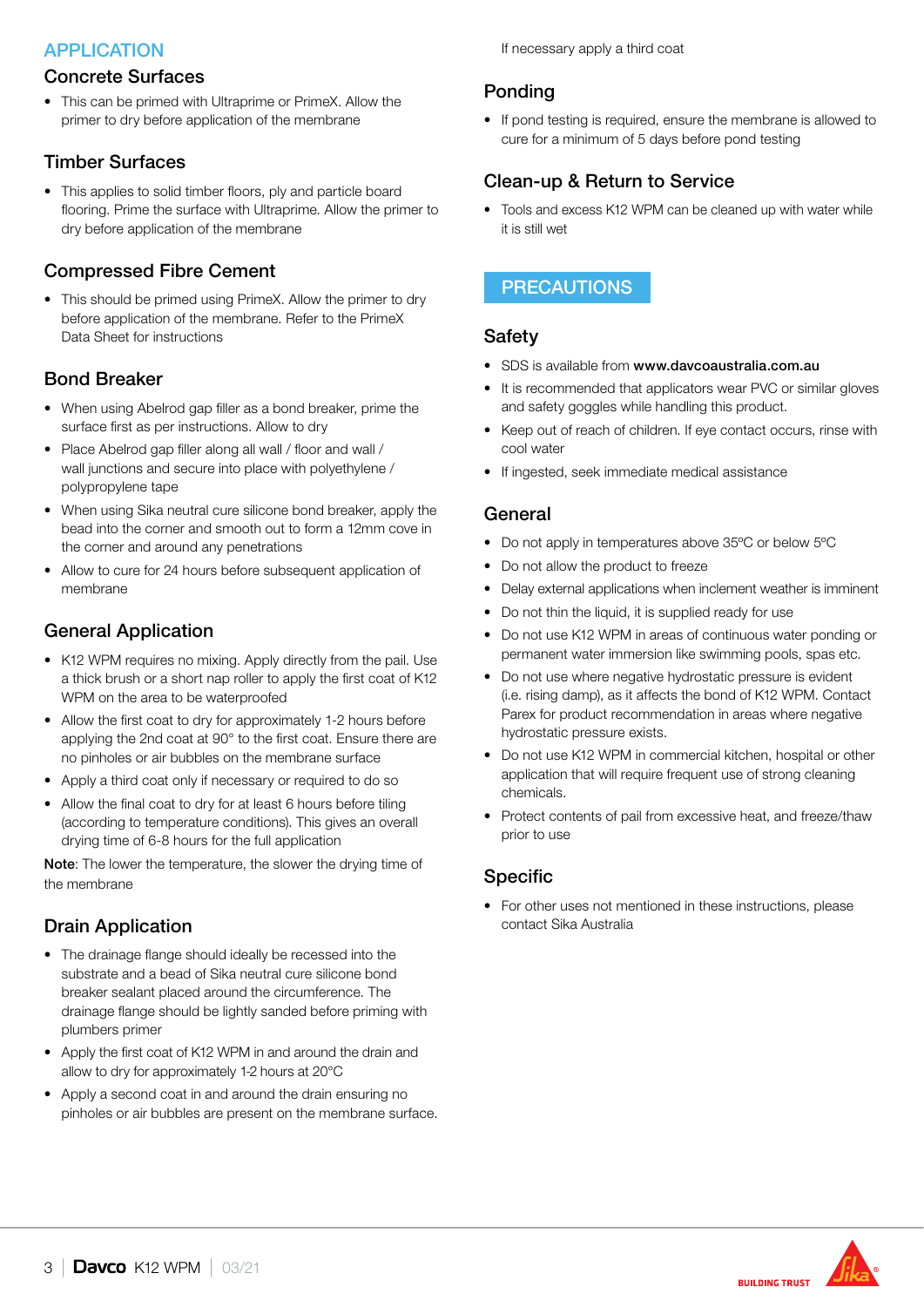## APPLICATION

#### Concrete Surfaces

• This can be primed with Ultraprime or PrimeX. Allow the primer to dry before application of the membrane

#### Timber Surfaces

• This applies to solid timber floors, ply and particle board flooring. Prime the surface with Ultraprime. Allow the primer to dry before application of the membrane

## Compressed Fibre Cement

• This should be primed using PrimeX. Allow the primer to dry before application of the membrane. Refer to the PrimeX Data Sheet for instructions

#### Bond Breaker

- When using Abelrod gap filler as a bond breaker, prime the surface first as per instructions. Allow to dry
- Place Abelrod gap filler along all wall / floor and wall / wall junctions and secure into place with polyethylene / polypropylene tape
- When using Sika neutral cure silicone bond breaker, apply the bead into the corner and smooth out to form a 12mm cove in the corner and around any penetrations
- Allow to cure for 24 hours before subsequent application of membrane

## General Application

- K12 WPM requires no mixing. Apply directly from the pail. Use a thick brush or a short nap roller to apply the first coat of K12 WPM on the area to be waterproofed
- Allow the first coat to dry for approximately 1-2 hours before applying the 2nd coat at 90° to the first coat. Ensure there are no pinholes or air bubbles on the membrane surface
- Apply a third coat only if necessary or required to do so
- Allow the final coat to dry for at least 6 hours before tiling (according to temperature conditions). This gives an overall drying time of 6-8 hours for the full application

Note: The lower the temperature, the slower the drying time of the membrane

#### Drain Application

- The drainage flange should ideally be recessed into the substrate and a bead of Sika neutral cure silicone bond breaker sealant placed around the circumference. The drainage flange should be lightly sanded before priming with plumbers primer
- Apply the first coat of K12 WPM in and around the drain and allow to dry for approximately 1-2 hours at 20°C
- Apply a second coat in and around the drain ensuring no pinholes or air bubbles are present on the membrane surface.

If necessary apply a third coat

#### Ponding

• If pond testing is required, ensure the membrane is allowed to cure for a minimum of 5 days before pond testing

## Clean-up & Return to Service

• Tools and excess K12 WPM can be cleaned up with water while it is still wet

#### **PRECAUTIONS**

#### **Safety**

- SDS is available from www.davcoaustralia.com.au
- It is recommended that applicators wear PVC or similar gloves and safety goggles while handling this product.
- Keep out of reach of children. If eye contact occurs, rinse with cool water
- If ingested, seek immediate medical assistance

#### General

- Do not apply in temperatures above 35ºC or below 5ºC
- Do not allow the product to freeze
- Delay external applications when inclement weather is imminent
- Do not thin the liquid, it is supplied ready for use
- Do not use K12 WPM in areas of continuous water ponding or permanent water immersion like swimming pools, spas etc.
- Do not use where negative hydrostatic pressure is evident (i.e. rising damp), as it affects the bond of K12 WPM. Contact Parex for product recommendation in areas where negative hydrostatic pressure exists.
- Do not use K12 WPM in commercial kitchen, hospital or other application that will require frequent use of strong cleaning chemicals.
- Protect contents of pail from excessive heat, and freeze/thaw prior to use

## Specific

• For other uses not mentioned in these instructions, please contact Sika Australia